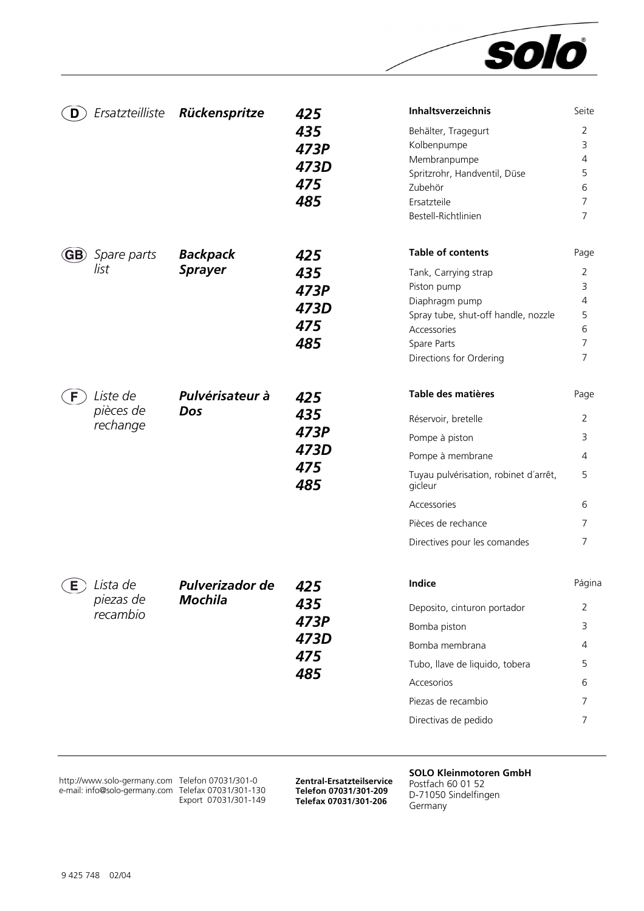

| D                         | Ersatzteilliste                     | Rückenspritze                     | 425<br>435<br>473P<br>473D<br>475<br>485 | Inhaltsverzeichnis<br>Behälter, Tragegurt<br>Kolbenpumpe<br>Membranpumpe<br>Spritzrohr, Handventil, Düse<br>Zubehör<br>Ersatzteile<br>Bestell-Richtlinien                                                | Seite<br>$\overline{2}$<br>3<br>4<br>5<br>6<br>7<br>$\overline{7}$  |
|---------------------------|-------------------------------------|-----------------------------------|------------------------------------------|----------------------------------------------------------------------------------------------------------------------------------------------------------------------------------------------------------|---------------------------------------------------------------------|
| (GB)                      | Spare parts<br>list                 | <b>Backpack</b><br><b>Sprayer</b> | 425<br>435<br>473P<br>473D<br>475<br>485 | <b>Table of contents</b><br>Tank, Carrying strap<br>Piston pump<br>Diaphragm pump<br>Spray tube, shut-off handle, nozzle<br>Accessories<br>Spare Parts<br>Directions for Ordering                        | Page<br>$\overline{2}$<br>3<br>4<br>5<br>6<br>$\overline{7}$<br>7   |
| F.                        | Liste de<br>pièces de<br>rechange   | Pulvérisateur à<br>Dos            | 425<br>435<br>473P<br>473D<br>475<br>485 | Table des matières<br>Réservoir, bretelle<br>Pompe à piston<br>Pompe à membrane<br>Tuyau pulvérisation, robinet d'arrêt,<br>gicleur<br>Accessories<br>Pièces de rechance<br>Directives pour les comandes | Page<br>2<br>3<br>4<br>5<br>6<br>7<br>7                             |
| $\left(\mathsf{E}\right)$ | ) Lista de<br>piezas de<br>recambio | Pulverizador de<br><b>Mochila</b> | 425<br>435<br>473P<br>473D<br>475<br>485 | Indice<br>Deposito, cinturon portador<br>Bomba piston<br>Bomba membrana<br>Tubo, llave de liquido, tobera<br>Accesorios<br>Piezas de recambio<br>Directivas de pedido                                    | Página<br>$\overline{2}$<br>3<br>4<br>5<br>6<br>7<br>$\overline{7}$ |

http://www.solo-germany.com e-mail: info@solo-germany.com

Telefon 07031/301-0 Telefax 07031/301-130 Export 07031/301-149

**Zentral-Ersatzteilservice Telefon 07031/301-209 Telefax 07031/301-206**

**SOLO Kleinmotoren GmbH**  Postfach 60 01 52 D-71050 Sindelfingen

Germany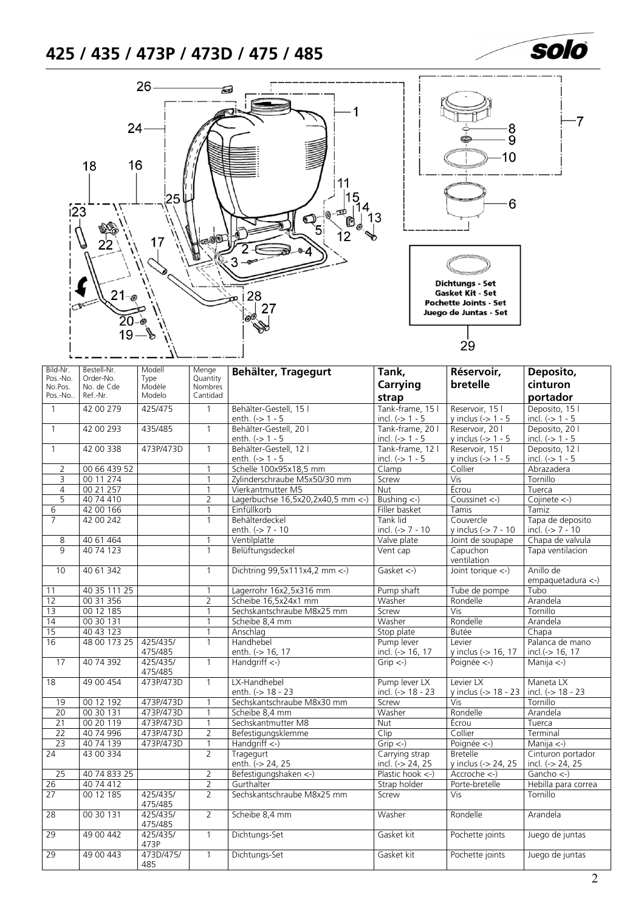# <span id="page-1-0"></span>**425 / 435 / 473P / 473D / 475 / 485**



| Bild-Nr.<br>Pos.-No. | Bestell-Nr.<br>Order-No. | Modell<br>Type      | Menge<br>Quantity | Behälter, Tragegurt                       | Tank,                                 | Réservoir,                             | Deposito,                              |
|----------------------|--------------------------|---------------------|-------------------|-------------------------------------------|---------------------------------------|----------------------------------------|----------------------------------------|
| No.Pos.              | No. de Cde               | Modèle              | Nombres           |                                           | Carrying                              | bretelle                               | cinturon                               |
| Pos.-No.             | Ref.-Nr.                 | Modelo              | Cantidad          |                                           | strap                                 |                                        | portador                               |
| $\mathbf{1}$         | 42 00 279                | 425/475             | $\mathbf{1}$      | Behälter-Gestell, 15 l                    | Tank-frame, 15 l                      | Reservoir, 15 l                        | Deposito, 15 l                         |
|                      |                          |                     |                   | enth. $(-> 1 - 5$                         | incl. $(-> 1 - 5$                     | y inclus $(-5)$ 1 - 5                  | incl. $(-> 1 - 5$                      |
| $\mathbf{1}$         | 42 00 293                | 435/485             | $\mathbf{1}$      | Behälter-Gestell, 20 l                    | Tank-frame, 20 l                      | Reservoir, 201                         | Deposito, 201                          |
|                      |                          |                     |                   | enth. (-> 1 - 5<br>Behälter-Gestell, 12 l | incl. $(-> 1 - 5$                     | y inclus $(-5)$ 1 - 5                  | incl. $(-> 1 - 5$                      |
| $\mathbf{1}$         | 42 00 338                | 473P/473D           | $\mathbf{1}$      |                                           | Tank-frame, 12 l                      | Reservoir, 15 l                        | Deposito, 12 l                         |
|                      |                          |                     |                   | enth. $(-> 1 - 5$                         | incl. $(-5)$ 1 - 5                    | y inclus $(-5)$ 1 - 5                  | incl. $(-> 1 - 5$                      |
| $\overline{2}$       | 00 66 439 52             |                     | $\mathbf{1}$      | Schelle 100x95x18,5 mm                    | Clamp                                 | Collier                                | Abrazadera                             |
| 3                    | 00 11 274                |                     | $\overline{1}$    | Zylinderschraube M5x50/30 mm              | Screw                                 | Vis                                    | Tornillo                               |
| $\overline{4}$       | 00 21 257                |                     | $\mathbf{1}$      | Vierkantmutter M5                         | <b>Nut</b>                            | Écrou                                  | Tuerca                                 |
| 5                    | 40 74 410                |                     | $\overline{2}$    | Lagerbuchse $16,5x20,2x40,5$ mm <-)       | Bushing $\left\langle -\right\rangle$ | Coussinet <-)                          | Cojinete $\left\langle -\right\rangle$ |
| 6                    | 42 00 166                |                     | $\overline{1}$    | Einfüllkorb                               | Filler basket                         | Tamis                                  | Tamiz                                  |
| $\overline{7}$       | 42 00 242                |                     | $\mathbf{1}$      | Behälterdeckel                            | Tank lid                              | Couvercle                              | Tapa de deposito                       |
|                      |                          |                     |                   | enth. (-> 7 - 10                          | incl. (-> 7 - 10                      | y inclus (-> 7 - 10                    | incl. $(-57 - 10)$                     |
| 8                    | 40 61 464                |                     | $\mathbf{1}$      | Ventilplatte                              | Valve plate                           | Joint de soupape                       | Chapa de valvula                       |
| $\overline{q}$       | 40 74 123                |                     | $\mathbf{1}$      | Belüftungsdeckel                          | Vent cap                              | Capuchon<br>ventilation                | Tapa ventilacion                       |
| 10                   | 40 61 342                |                     | $\mathbf{1}$      | Dichtring 99,5x111x4,2 mm <- )            | Gasket $\leftarrow$ )                 | Joint torique $\leftarrow$ )           | Anillo de<br>empaquetadura <-)         |
| 11                   | 40 35 111 25             |                     | $\mathbf{1}$      | Lagerrohr 16x2,5x316 mm                   | Pump shaft                            | Tube de pompe                          | Tubo                                   |
| 12                   | 00 31 356                |                     | $\overline{2}$    | Scheibe 16,5x24x1 mm                      | Washer                                | Rondelle                               | Arandela                               |
| 13                   | 00 12 185                |                     | $\mathbf{1}$      | Sechskantschraube M8x25 mm                | Screw                                 | Vis                                    | Tornillo                               |
| 14                   | 00 30 131                |                     | $\mathbf{1}$      | Scheibe 8,4 mm                            | Washer                                | Rondelle                               | Arandela                               |
| 15                   | 40 43 123                |                     | $\mathbf{1}$      | Anschlag                                  | Stop plate                            | Butée                                  | Chapa                                  |
| 16                   | 48 00 173 25             | 425/435/            | $\mathbf{1}$      | Handhebel                                 | Pump lever                            | Levier                                 | Palanca de mano                        |
|                      |                          | 475/485             |                   | enth. (-> 16, 17                          | incl. (-> 16, 17                      | y inclus (-> 16, 17                    | incl.(-> 16, 17                        |
| 17                   | 40 74 392                | 425/435/<br>475/485 | $\mathbf{1}$      | Handgriff $\left\langle -\right\rangle$   | $Grip < -$                            | Poignée <-)                            | Manija $\leftarrow$ )                  |
| $\overline{18}$      | 49 00 454                | 473P/473D           | $\mathbf{1}$      | LX-Handhebel                              | Pump lever LX                         | Levier LX                              | Maneta LX                              |
|                      |                          |                     |                   | enth. (-> 18 - 23                         | incl. (-> 18 - 23                     | y inclus (-> 18 - 23                   | incl. (-> 18 - 23                      |
| 19                   | 00 12 192                | 473P/473D           | $\mathbf{1}$      | Sechskantschraube M8x30 mm                | Screw                                 | Vis                                    | Tornillo                               |
| $\overline{20}$      | 00 30 131                | 473P/473D           | $\mathbf{1}$      | Scheibe 8,4 mm                            | Washer                                | Rondelle                               | Arandela                               |
| $\overline{21}$      | 00 20 119                | 473P/473D           | $\mathbf{1}$      | Sechskantmutter M8                        | Nut                                   | Écrou                                  | Tuerca                                 |
| 22                   | 40 74 996                | 473P/473D           | $\overline{2}$    | Befestigungsklemme                        | Clip                                  | Collier                                | Terminal                               |
| $\overline{23}$      | 40 74 139                | 473P/473D           | $\mathbf{1}$      | Handgriff $\leftarrow$ )                  | $Grip < -$                            | Poignée <-)                            | Manija $\leftarrow$ )                  |
| $\overline{24}$      | 43 00 334                |                     | $\overline{2}$    | Tragegurt<br>enth. (-> 24, 25             | Carrying strap<br>incl. (-> 24, 25    | <b>Bretelle</b><br>y inclus (-> 24, 25 | Cinturon portador<br>incl. (-> 24, 25  |
| 25                   | 40 74 833 25             |                     | $\overline{2}$    | Befestigungshaken <-)                     | Plastic hook <-)                      | $Accroche < -$ )                       | Gancho $\leftarrow$ )                  |
| 26                   | 40 74 412                |                     | $\overline{2}$    | Gurthalter                                | Strap holder                          | Porte-bretelle                         | Hebilla para correa                    |
| 27                   | 00 12 185                | 425/435/<br>475/485 | $\overline{2}$    | Sechskantschraube M8x25 mm                | Screw                                 | Vis                                    | Tornillo                               |
| $\overline{28}$      | 00 30 131                | 425/435/<br>475/485 | $\overline{2}$    | Scheibe 8,4 mm                            | Washer                                | Rondelle                               | Arandela                               |
| 29                   | 49 00 442                | 425/435/<br>473P    | $\mathbf{1}$      | Dichtungs-Set                             | Gasket kit                            | Pochette joints                        | Juego de juntas                        |
| 29                   | 49 00 443                | 473D/475/<br>485    | $\overline{1}$    | Dichtungs-Set                             | Gasket kit                            | Pochette joints                        | Juego de juntas                        |

solo

 $-7$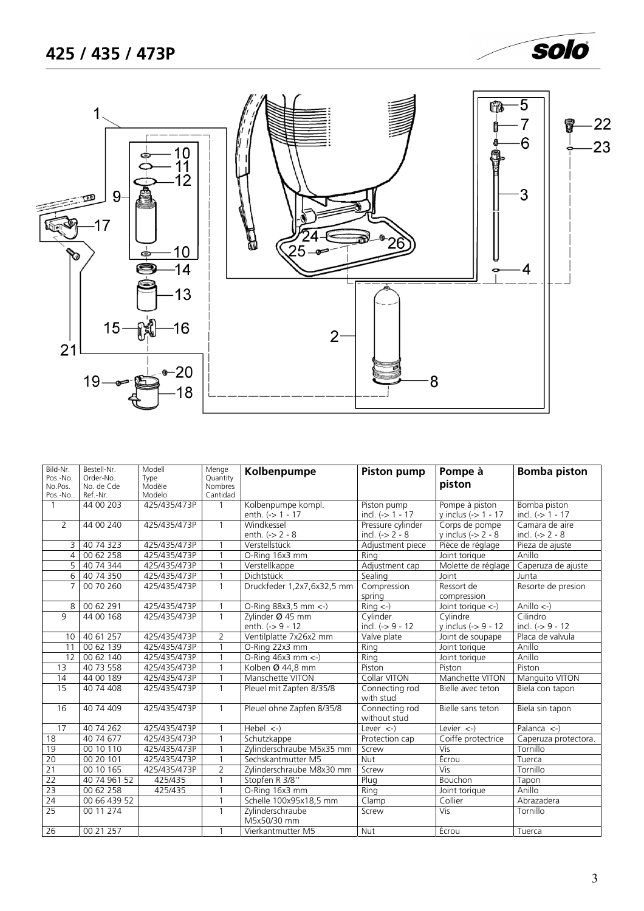

<span id="page-2-0"></span>

| Bild-Nr.<br>Pos.-No.<br>No.Pos.<br>Pos.-No | Bestell-Nr.<br>Order-No.<br>No. de Cde<br>Ref.-Nr. | Modell<br>Type<br>Modèle<br>Modelo | Menge<br>Quantity<br><b>Nombres</b><br>Cantidad | Kolbenpumpe                               | <b>Piston pump</b>                    | Pompe à<br>piston                                  | <b>Bomba piston</b>                 |
|--------------------------------------------|----------------------------------------------------|------------------------------------|-------------------------------------------------|-------------------------------------------|---------------------------------------|----------------------------------------------------|-------------------------------------|
| -1                                         | 44 00 203                                          | 425/435/473P                       |                                                 | Kolbenpumpe kompl.<br>enth. $(-5)$ 1 - 17 | Piston pump<br>incl. (-> 1 - 17       | Pompe à piston<br>y inclus $\left(-\right)$ 1 - 17 | Bomba piston<br>incl. $(-5 1 - 17)$ |
| $\overline{2}$                             | 44 00 240                                          | 425/435/473P                       | $\mathbf{1}$                                    | Windkessel<br>enth. $(-2 - 8)$            | Pressure cylinder<br>incl. $(-2 - 8)$ | Corps de pompe<br>y inclus (-> $2 - 8$             | Camara de aire<br>incl. $(-2 - 8)$  |
| 3                                          | 40 74 323                                          | 425/435/473P                       |                                                 | Verstellstück                             | Adjustment piece                      | Pièce de réglage                                   | Pieza de ajuste                     |
| 4                                          | 00 62 258                                          | 425/435/473P                       |                                                 | O-Ring 16x3 mm                            | Rina                                  | Joint torique                                      | Anillo                              |
| 5                                          | 40 74 344                                          | 425/435/473P                       |                                                 | Verstellkappe                             | Adjustment cap                        | Molette de réglage                                 | Caperuza de ajuste                  |
| 6                                          | 40 74 350                                          | 425/435/473P                       | $\overline{1}$                                  | Dichtstück                                | Sealing                               | Joint                                              | Junta                               |
| 7                                          | 00 70 260                                          | 425/435/473P                       | $\mathbf{1}$                                    | Druckfeder 1,2x7,6x32,5 mm                | Compression<br>spring                 | Ressort de<br>compression                          | Resorte de presion                  |
| 8                                          | 00 62 291                                          | 425/435/473P                       |                                                 | O-Ring 88x3,5 mm <- )                     | $Ring < -$ )                          | Joint torique $\leftarrow$ )                       | Anillo $\leftarrow$ )               |
| 9                                          | 44 00 168                                          | 425/435/473P                       | $\mathbf{1}$                                    | Zvlinder Ø 45 mm                          | Cvlinder                              | Cylindre                                           | Cilindro                            |
|                                            |                                                    |                                    |                                                 | enth. (-> 9 - 12                          | incl. $(-59 - 12)$                    | y inclus (-> 9 - 12                                | incl. $(-59 - 12)$                  |
| 10                                         | 40 61 257                                          | 425/435/473P                       | $\overline{2}$                                  | Ventilplatte 7x26x2 mm                    | Valve plate                           | Joint de soupape                                   | Placa de valvula                    |
| 11                                         | 00 62 139                                          | 425/435/473P                       | $\overline{1}$                                  | O-Ring 22x3 mm                            | Ring                                  | Joint torique                                      | Anillo                              |
| 12                                         | 00 62 140                                          | 425/435/473P                       | $\overline{1}$                                  | O-Ring $46x3$ mm $\leftarrow$ )           | Ring                                  | Joint torique                                      | Anillo                              |
| 13                                         | 40 73 558                                          | 425/435/473P                       |                                                 | Kolben Ø 44,8 mm                          | Piston                                | Piston                                             | Piston                              |
| 14                                         | 44 00 189                                          | 425/435/473P                       | $\overline{1}$                                  | Manschette VITON                          | Collar VITON                          | Manchette VITON                                    | Manguito VITON                      |
| $\overline{15}$                            | 40 74 408                                          | 425/435/473P                       | $\mathbf{1}$                                    | Pleuel mit Zapfen 8/35/8                  | Connecting rod<br>with stud           | Bielle avec teton                                  | Biela con tapon                     |
| 16                                         | 40 74 409                                          | 425/435/473P                       | $\mathbf{1}$                                    | Pleuel ohne Zapfen 8/35/8                 | Connecting rod<br>without stud        | Bielle sans teton                                  | Biela sin tapon                     |
| 17                                         | 40 74 262                                          | 425/435/473P                       |                                                 | Hebel $\left\langle -\right\rangle$       | Lever $\leftarrow$ )                  | Levier $\langle - \rangle$                         | Palanca $\leftarrow$                |
| 18                                         | 40 74 677                                          | 425/435/473P                       |                                                 | Schutzkappe                               | Protection cap                        | Coiffe protectrice                                 | Caperuza protectora.                |
| 19                                         | 00 10 110                                          | 425/435/473P                       |                                                 | Zylinderschraube M5x35 mm                 | Screw                                 | <b>Vis</b>                                         | Tornillo                            |
| 20                                         | 00 20 101                                          | 425/435/473P                       |                                                 | Sechskantmutter M5                        | Nut                                   | Écrou                                              | Tuerca                              |
| $\overline{21}$                            | 00 10 165                                          | 425/435/473P                       | $\overline{2}$                                  | Zylinderschraube M8x30 mm                 | Screw                                 | <b>Vis</b>                                         | Tornillo                            |
| 22                                         | 40 74 961 52                                       | 425/435                            |                                                 | Stopfen R 3/8"                            | Plug                                  | <b>Bouchon</b>                                     | Tapon                               |
| 23                                         | 00 62 258                                          | 425/435                            |                                                 | O-Ring 16x3 mm                            | Ring                                  | Joint torique                                      | Anillo                              |
| 24                                         | $\overline{00}$ 66 439 52                          |                                    | 1                                               | Schelle 100x95x18,5 mm                    | Clamp                                 | Collier                                            | Abrazadera                          |
| 25                                         | 00 11 274                                          |                                    | $\mathbf{1}$                                    | Zylinderschraube<br>M5x50/30 mm           | Screw                                 | $\overline{Vis}$                                   | Tornillo                            |
| 26                                         | 00 21 257                                          |                                    | $\mathbf{1}$                                    | Vierkantmutter M5                         | Nut                                   | Écrou                                              | Tuerca                              |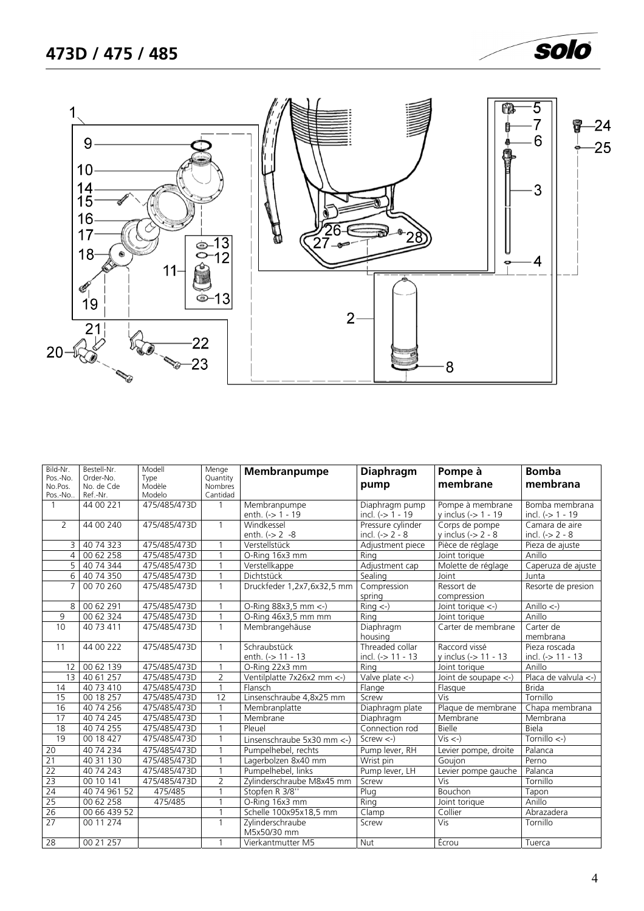

<span id="page-3-0"></span>

| Bild-Nr.            | Bestell-Nr.<br>Order-No. | Modell         | Menge               | Membranpumpe                    | <b>Diaphragm</b>                          | Pompe à                                   | <b>Bomba</b>              |
|---------------------|--------------------------|----------------|---------------------|---------------------------------|-------------------------------------------|-------------------------------------------|---------------------------|
| Pos.-No.<br>No.Pos. | No. de Cde               | Type<br>Modèle | Quantity<br>Nombres |                                 | pump                                      | membrane                                  | membrana                  |
| Pos.-No.            | Ref.-Nr.                 | Modelo         | Cantidad            |                                 |                                           |                                           |                           |
| $\mathbf{1}$        | 44 00 221                | 475/485/473D   | 1                   | Membranpumpe                    | Diaphragm pump                            | Pompe à membrane                          | Bomba membrana            |
|                     |                          |                |                     | enth. $(-) 1 - 19$              | incl. $(-> 1 - 19)$                       | y inclus (-> 1 - 19                       | incl. (-> 1 - 19          |
| $\overline{2}$      | 44 00 240                | 475/485/473D   | $\mathbf{1}$        | Windkessel                      | Pressure cylinder                         | Corps de pompe                            | Camara de aire            |
|                     |                          |                |                     | enth. $(-2 - 8)$                | incl. $(-2 - 8)$                          | y inclus $\left(\frac{1}{2}\right)$ 2 - 8 | incl. $(-2 - 8)$          |
| $\overline{3}$      | 40 74 323                | 475/485/473D   |                     | Verstellstück                   | Adjustment piece                          | Pièce de réglage                          | Pieza de ajuste           |
| $\overline{4}$      | 00 62 258                | 475/485/473D   | $\mathbf{1}$        | O-Ring 16x3 mm                  | Rina                                      | Joint torique                             | Anillo                    |
| 5                   | 40 74 344                | 475/485/473D   |                     | Verstellkappe                   | Adjustment cap                            | Molette de réglage                        | Caperuza de ajuste        |
| 6                   | 40 74 350                | 475/485/473D   | $\mathbf{1}$        | Dichtstück                      | Sealing                                   | Joint                                     | Junta                     |
| $\overline{7}$      | 00 70 260                | 475/485/473D   | $\mathbf{1}$        | Druckfeder 1,2x7,6x32,5 mm      | Compression                               | Ressort de                                | Resorte de presion        |
|                     |                          |                |                     |                                 | spring                                    | compression                               |                           |
| 8                   | 00 62 291                | 475/485/473D   |                     | O-Ring 88x3,5 mm <-)            | $Ring < -$ )                              | Joint torique <-)                         | Anillo $\leftarrow$ )     |
| 9                   | 00 62 324                | 475/485/473D   | $\mathbf{1}$        | O-Ring 46x3,5 mm mm             | Rina                                      | Joint torique                             | Anillo                    |
| 10                  | 40 73 411                | 475/485/473D   | $\mathbf{1}$        | Membrangehäuse                  | Diaphragm                                 | Carter de membrane                        | Carter de                 |
|                     |                          |                |                     |                                 | housing                                   |                                           | membrana                  |
| 11                  | 44 00 222                | 475/485/473D   | $\mathbf{1}$        | Schraubstück                    | Threaded collar                           | Raccord vissé                             | Pieza roscada             |
|                     |                          |                |                     | enth. (-> 11 - 13               | incl. (-> 11 - 13                         | y inclus (-> 11 - 13                      | incl. $(-) 11 - 13$       |
| 12                  | 00 62 139                | 475/485/473D   |                     | O-Ring 22x3 mm                  | Ring                                      | Joint torique                             | Anillo                    |
| $\overline{13}$     | 40 61 257                | 475/485/473D   | $\overline{2}$      | Ventilplatte 7x26x2 mm <- )     | Valve plate $\left\langle -\right\rangle$ | Joint de soupape <-)                      | Placa de valvula $\lt$ -) |
| 14                  | 40 73 410                | 475/485/473D   | $\mathbf{1}$        | Flansch                         | Flange                                    | Flasque                                   | <b>Brida</b>              |
| 15                  | 00 18 257                | 475/485/473D   | 12                  | Linsenschraube 4,8x25 mm        | Screw                                     | Vis                                       | Tornillo                  |
| 16                  | 40 74 256                | 475/485/473D   |                     | Membranplatte                   | Diaphragm plate                           | Plaque de membrane                        | Chapa membrana            |
| $\overline{17}$     | 40 74 245                | 475/485/473D   |                     | Membrane                        | Diaphragm                                 | Membrane                                  | Membrana                  |
| 18                  | 40 74 255                | 475/485/473D   |                     | Pleuel                          | Connection rod                            | Bielle                                    | Biela                     |
| 19                  | 00 18 427                | 475/485/473D   | $\mathbf{1}$        | Linsenschraube 5x30 mm <- )     | Screw $\lt$ -)                            | $Vis < -$ )                               | Tornillo $\leftarrow$     |
| $\overline{20}$     | 40 74 234                | 475/485/473D   | $\mathbf{1}$        | Pumpelhebel, rechts             | Pump lever, RH                            | Levier pompe, droite                      | Palanca                   |
| 21                  | 40 31 130                | 475/485/473D   | $\mathbf{1}$        | Lagerbolzen 8x40 mm             | Wrist pin                                 | Goujon                                    | Perno                     |
| 22                  | 40 74 243                | 475/485/473D   | $\mathbf{1}$        | Pumpelhebel, links              | Pump lever, LH                            | Levier pompe gauche                       | Palanca                   |
| 23                  | 00 10 141                | 475/485/473D   | $\overline{2}$      | Zylinderschraube M8x45 mm       | Screw                                     | Vis                                       | Tornillo                  |
| 24                  | 40 74 961 52             | 475/485        | $\mathbf{1}$        | Stopfen R 3/8"                  | Pluq                                      | Bouchon                                   | Tapon                     |
| 25                  | 00 62 258                | 475/485        | $\overline{1}$      | O-Ring 16x3 mm                  | Ring                                      | Joint torique                             | Anillo                    |
| 26                  | 00 66 439 52             |                | $\mathbf{1}$        | Schelle 100x95x18,5 mm          | $\overline{C}$ lamp                       | Collier                                   | Abrazadera                |
| $\overline{27}$     | 00 11 274                |                | $\mathbf{1}$        | Zylinderschraube<br>M5x50/30 mm | Screw                                     | Vis                                       | Tornillo                  |
| 28                  | 00 21 257                |                |                     | Vierkantmutter M5               | Nut                                       | <b>Écrou</b>                              | Tuerca                    |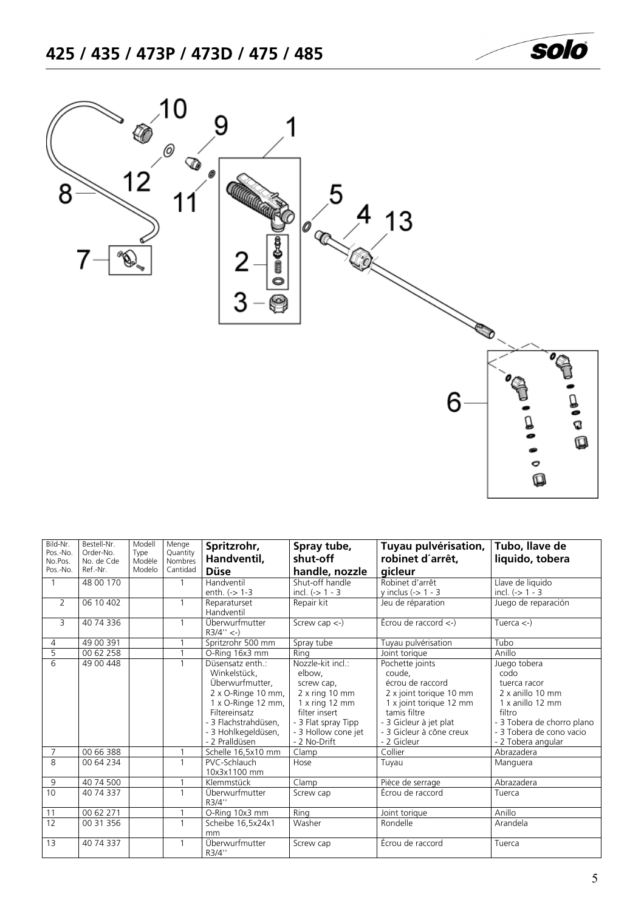<span id="page-4-0"></span>

| Bild-Nr.<br>Pos.-No.<br>No.Pos.<br>Pos.-No. | Bestell-Nr.<br>Order-No.<br>No. de Cde<br>Ref.-Nr. | Modell<br>Type<br>Modèle<br>Modelo | Menge<br>Quantity<br>Nombres<br>Cantidad | Spritzrohr,<br>Handventil,<br><b>Düse</b>                                                                                                                                                           | Spray tube,<br>shut-off<br>handle, nozzle                                                                                                                        | Tuyau pulvérisation,<br>robinet d'arrêt,<br>gicleur                                                                                                                                      | Tubo, llave de<br>liquido, tobera                                                                                                                                      |
|---------------------------------------------|----------------------------------------------------|------------------------------------|------------------------------------------|-----------------------------------------------------------------------------------------------------------------------------------------------------------------------------------------------------|------------------------------------------------------------------------------------------------------------------------------------------------------------------|------------------------------------------------------------------------------------------------------------------------------------------------------------------------------------------|------------------------------------------------------------------------------------------------------------------------------------------------------------------------|
|                                             | 48 00 170                                          |                                    | $\overline{1}$                           | Handventil<br>enth. $(-) 1-3$                                                                                                                                                                       | Shut-off handle<br>incl. $(-> 1 - 3$                                                                                                                             | Robinet d'arrêt<br>y inclus $(-5)$ 1 - 3                                                                                                                                                 | Llave de liquido<br>incl. $(-> 1 - 3$                                                                                                                                  |
| $\overline{2}$                              | 06 10 402                                          |                                    | 1                                        | Reparaturset<br>Handventil                                                                                                                                                                          | Repair kit                                                                                                                                                       | Jeu de réparation                                                                                                                                                                        | Juego de reparación                                                                                                                                                    |
| 3                                           | 40 74 336                                          |                                    | $\overline{1}$                           | Überwurfmutter<br>$R3/4'' < -$                                                                                                                                                                      | Screw cap $\leftarrow$ )                                                                                                                                         | Écrou de raccord $\leftarrow$ )                                                                                                                                                          | Tuerca $\left\langle -\right\rangle$                                                                                                                                   |
| 4                                           | 49 00 391                                          |                                    | $\overline{1}$                           | Spritzrohr 500 mm                                                                                                                                                                                   | Spray tube                                                                                                                                                       | Tuyau pulvérisation                                                                                                                                                                      | Tubo                                                                                                                                                                   |
| 5                                           | 00 62 258                                          |                                    |                                          | O-Ring 16x3 mm                                                                                                                                                                                      | Rina                                                                                                                                                             | Joint torique                                                                                                                                                                            | Anillo                                                                                                                                                                 |
| 6                                           | 49 00 448                                          |                                    | $\mathbf{1}$                             | Düsensatz enth.:<br>Winkelstück,<br>Überwurfmutter.<br>2 x O-Ringe 10 mm,<br>$1 \times$ O-Ringe $12 \text{ mm}$ ,<br>Filtereinsatz<br>- 3 Flachstrahdüsen.<br>- 3 Hohlkegeldüsen,<br>- 2 Pralldüsen | Nozzle-kit incl.:<br>elbow,<br>screw cap,<br>$2x$ ring 10 mm<br>$1x$ ring $12$ mm<br>filter insert<br>- 3 Flat spray Tipp<br>- 3 Hollow cone jet<br>- 2 No-Drift | Pochette joints<br>coude,<br>écrou de raccord<br>2 x joint torique 10 mm<br>1 x joint torique 12 mm<br>tamis filtre<br>- 3 Gicleur à jet plat<br>- 3 Gicleur à cône creux<br>- 2 Gicleur | Juego tobera<br>codo<br>tuerca racor<br>2 x anillo 10 mm<br>1 x anillo 12 mm<br>filtro<br>- 3 Tobera de chorro plano<br>- 3 Tobera de cono vacio<br>- 2 Tobera angular |
| $\overline{7}$                              | 00 66 388                                          |                                    |                                          | Schelle 16,5x10 mm                                                                                                                                                                                  | Clamp                                                                                                                                                            | Collier                                                                                                                                                                                  | Abrazadera                                                                                                                                                             |
| $\overline{8}$                              | 00 64 234                                          |                                    | $\overline{1}$                           | PVC-Schlauch<br>10x3x1100 mm                                                                                                                                                                        | Hose                                                                                                                                                             | Tuyau                                                                                                                                                                                    | Manguera                                                                                                                                                               |
| 9                                           | 40 74 500                                          |                                    |                                          | Klemmstück                                                                                                                                                                                          | Clamp                                                                                                                                                            | Pièce de serrage                                                                                                                                                                         | Abrazadera                                                                                                                                                             |
| 10                                          | 40 74 337                                          |                                    | $\overline{1}$                           | Überwurfmutter<br>R3/4"                                                                                                                                                                             | Screw cap                                                                                                                                                        | Écrou de raccord                                                                                                                                                                         | Tuerca                                                                                                                                                                 |
| 11                                          | 00 62 271                                          |                                    | $\overline{1}$                           | O-Ring 10x3 mm                                                                                                                                                                                      | Ring                                                                                                                                                             | Joint torique                                                                                                                                                                            | Anillo                                                                                                                                                                 |
| 12                                          | 00 31 356                                          |                                    | $\overline{1}$                           | Scheibe 16,5x24x1<br>mm                                                                                                                                                                             | Washer                                                                                                                                                           | Rondelle                                                                                                                                                                                 | Arandela                                                                                                                                                               |
| 13                                          | 40 74 337                                          |                                    | $\mathbf{1}$                             | Überwurfmutter<br>R3/4"                                                                                                                                                                             | Screw cap                                                                                                                                                        | Écrou de raccord                                                                                                                                                                         | Tuerca                                                                                                                                                                 |

 $\begin{matrix} \bullet \\ \circ \\ \mathbb{Q} \end{matrix}$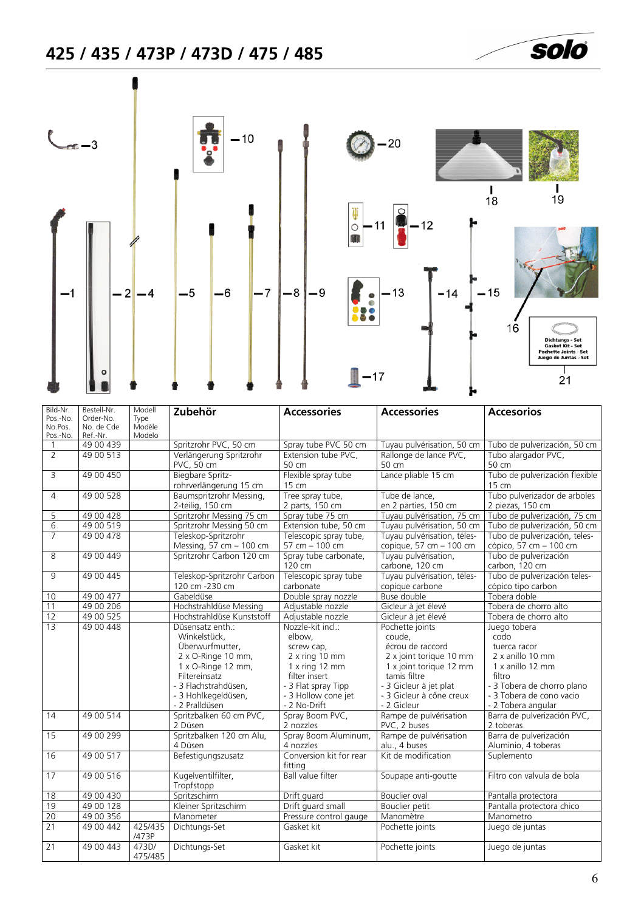# <span id="page-5-0"></span>**425 / 435 / 473P / 473D / 475 / 485**



| Bild-Nr.<br>Pos.-No.<br>No.Pos.<br>Pos.-No. | Bestell-Nr.<br>Order-No.<br>No. de Cde<br>Ref.-Nr. | Modell<br>Type<br>Modèle<br>Modelo | Zubehör                                                                                                                                                                           | <b>Accessories</b>                                                                                                                                           | <b>Accessories</b>                                                                                                                                                                       | <b>Accesorios</b>                                                                                                                                                      |
|---------------------------------------------|----------------------------------------------------|------------------------------------|-----------------------------------------------------------------------------------------------------------------------------------------------------------------------------------|--------------------------------------------------------------------------------------------------------------------------------------------------------------|------------------------------------------------------------------------------------------------------------------------------------------------------------------------------------------|------------------------------------------------------------------------------------------------------------------------------------------------------------------------|
| $\mathbf{1}$                                | 49 00 439                                          |                                    | Spritzrohr PVC, 50 cm                                                                                                                                                             | Spray tube PVC 50 cm                                                                                                                                         | Tuyau pulvérisation, 50 cm                                                                                                                                                               | Tubo de pulverización, 50 cm                                                                                                                                           |
| $\overline{2}$                              | 49 00 513                                          |                                    | Verlängerung Spritzrohr                                                                                                                                                           | Extension tube PVC,                                                                                                                                          | Rallonge de lance PVC,                                                                                                                                                                   | Tubo alargador PVC,                                                                                                                                                    |
|                                             |                                                    |                                    | PVC, 50 cm                                                                                                                                                                        | 50 cm                                                                                                                                                        | 50 cm                                                                                                                                                                                    | 50 cm                                                                                                                                                                  |
| 3                                           | 49 00 450                                          |                                    | Biegbare Spritz-<br>rohrverlängerung 15 cm                                                                                                                                        | Flexible spray tube<br>15 cm                                                                                                                                 | Lance pliable 15 cm                                                                                                                                                                      | Tubo de pulverización flexible<br>15 cm                                                                                                                                |
| $\overline{4}$                              | 49 00 528                                          |                                    | Baumspritzrohr Messing,<br>2-teilig, 150 cm                                                                                                                                       | Tree spray tube,<br>2 parts, 150 cm                                                                                                                          | Tube de lance,<br>en 2 parties, 150 cm                                                                                                                                                   | Tubo pulverizador de arboles<br>2 piezas, 150 cm                                                                                                                       |
| 5                                           | 49 00 428                                          |                                    | Spritzrohr Messing 75 cm                                                                                                                                                          | Spray tube 75 cm                                                                                                                                             | Tuyau pulvérisation, 75 cm                                                                                                                                                               | Tubo de pulverización, 75 cm                                                                                                                                           |
| $\overline{6}$                              | 49 00 519                                          |                                    | Spritzrohr Messing 50 cm                                                                                                                                                          | Extension tube, 50 cm                                                                                                                                        | Tuyau pulvérisation, 50 cm                                                                                                                                                               | Tubo de pulverización, 50 cm                                                                                                                                           |
| $\overline{7}$                              | 49 00 478                                          |                                    | Teleskop-Spritzrohr<br>Messing, 57 cm - 100 cm                                                                                                                                    | Telescopic spray tube,<br>57 cm - 100 cm                                                                                                                     | Tuyau pulvérisation, téles-<br>copique, 57 cm - 100 cm                                                                                                                                   | Tubo de pulverización, teles-<br>cópico, 57 cm - 100 cm                                                                                                                |
| 8                                           | 49 00 449                                          |                                    | Spritzrohr Carbon 120 cm                                                                                                                                                          | Spray tube carbonate,<br>120 cm                                                                                                                              | Tuyau pulvérisation,<br>carbone, 120 cm                                                                                                                                                  | Tubo de pulverización<br>carbon, 120 cm                                                                                                                                |
| 9                                           | 49 00 445                                          |                                    | Teleskop-Spritzrohr Carbon<br>120 cm -230 cm                                                                                                                                      | Telescopic spray tube<br>carbonate                                                                                                                           | Tuyau pulvérisation, téles-<br>copique carbone                                                                                                                                           | Tubo de pulverización teles-<br>cópico tipo carbon                                                                                                                     |
| 10                                          | 49 00 477                                          |                                    | Gabeldüse                                                                                                                                                                         | Double spray nozzle                                                                                                                                          | <b>Buse double</b>                                                                                                                                                                       | Tobera doble                                                                                                                                                           |
| 11                                          | 49 00 206                                          |                                    | Hochstrahldüse Messing                                                                                                                                                            | Adjustable nozzle                                                                                                                                            | Gicleur à jet élevé                                                                                                                                                                      | Tobera de chorro alto                                                                                                                                                  |
| 12                                          | 49 00 525                                          |                                    | Hochstrahldüse Kunststoff                                                                                                                                                         | Adjustable nozzle                                                                                                                                            | Gicleur à jet élevé                                                                                                                                                                      | Tobera de chorro alto                                                                                                                                                  |
| 13                                          | 49 00 448                                          |                                    | Düsensatz enth.:<br>Winkelstück,<br>Überwurfmutter,<br>2 x O-Ringe 10 mm,<br>1 x O-Ringe 12 mm,<br>Filtereinsatz<br>- 3 Flachstrahdüsen.<br>- 3 Hohlkegeldüsen,<br>- 2 Pralldüsen | Nozzle-kit incl.:<br>elbow,<br>screw cap,<br>2 x ring 10 mm<br>1 x ring 12 mm<br>filter insert<br>- 3 Flat spray Tipp<br>- 3 Hollow cone jet<br>- 2 No-Drift | Pochette joints<br>coude.<br>écrou de raccord<br>2 x joint torique 10 mm<br>1 x joint torique 12 mm<br>tamis filtre<br>- 3 Gicleur à jet plat<br>- 3 Gicleur à cône creux<br>- 2 Gicleur | Juego tobera<br>codo<br>tuerca racor<br>2 x anillo 10 mm<br>1 x anillo 12 mm<br>filtro<br>- 3 Tobera de chorro plano<br>- 3 Tobera de cono vacio<br>- 2 Tobera angular |
| 14                                          | 49 00 514                                          |                                    | Spritzbalken 60 cm PVC,<br>2 Düsen                                                                                                                                                | Spray Boom PVC,<br>2 nozzles                                                                                                                                 | Rampe de pulvérisation<br>PVC, 2 buses                                                                                                                                                   | Barra de pulverización PVC,<br>2 toberas                                                                                                                               |
| 15                                          | 49 00 299                                          |                                    | Spritzbalken 120 cm Alu,<br>4 Düsen                                                                                                                                               | Spray Boom Aluminum,<br>4 nozzles                                                                                                                            | Rampe de pulvérisation<br>alu., 4 buses                                                                                                                                                  | Barra de pulverización<br>Aluminio, 4 toberas                                                                                                                          |
| 16                                          | 49 00 517                                          |                                    | Befestigungszusatz                                                                                                                                                                | Conversion kit for rear<br>fittina                                                                                                                           | Kit de modification                                                                                                                                                                      | Suplemento                                                                                                                                                             |
| 17                                          | 49 00 516                                          |                                    | Kugelventilfilter,<br>Tropfstopp                                                                                                                                                  | <b>Ball value filter</b>                                                                                                                                     | Soupape anti-goutte                                                                                                                                                                      | Filtro con valvula de bola                                                                                                                                             |
| $\overline{18}$                             | 49 00 430                                          |                                    | Spritzschirm                                                                                                                                                                      | Drift guard                                                                                                                                                  | <b>Bouclier</b> oval                                                                                                                                                                     | Pantalla protectora                                                                                                                                                    |
| 19                                          | 49 00 128                                          |                                    | Kleiner Spritzschirm                                                                                                                                                              | Drift guard small                                                                                                                                            | Bouclier petit                                                                                                                                                                           | Pantalla protectora chico                                                                                                                                              |
| 20                                          | 49 00 356                                          |                                    | Manometer                                                                                                                                                                         | Pressure control gauge                                                                                                                                       | Manomètre                                                                                                                                                                                | Manometro                                                                                                                                                              |
| 21                                          | 49 00 442                                          | 425/435<br>/473P                   | Dichtungs-Set                                                                                                                                                                     | Gasket kit                                                                                                                                                   | Pochette joints                                                                                                                                                                          | Juego de juntas                                                                                                                                                        |
| $\overline{21}$                             | 49 00 443                                          | 473D/<br>475/485                   | Dichtungs-Set                                                                                                                                                                     | Gasket kit                                                                                                                                                   | Pochette joints                                                                                                                                                                          | Juego de juntas                                                                                                                                                        |

solo